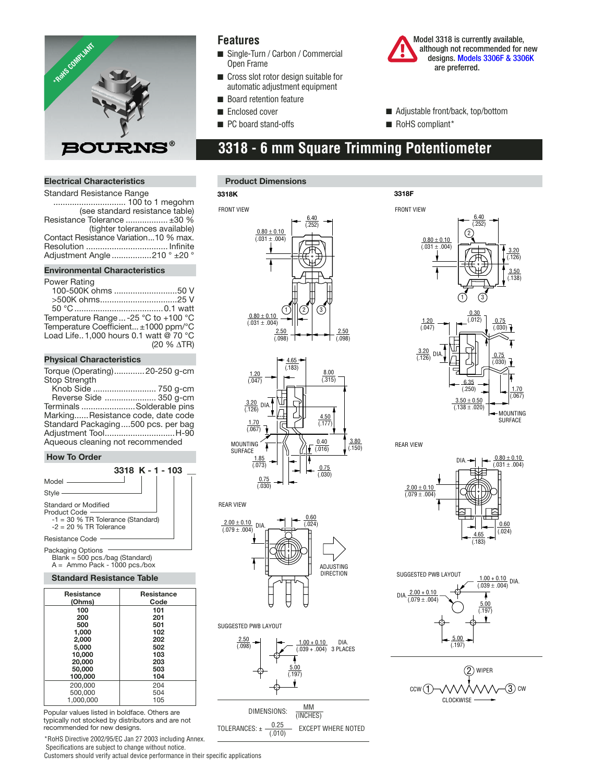

### **Features**

- Single-Turn / Carbon / Commercial Open Frame
- Cross slot rotor design suitable for automatic adjustment equipment
- Board retention feature
- Enclosed cover

**3318K**

■ PC board stand-offs

 Model 3318 is currently available, although not recommended for new design[s. Models 3306F & 3306K](http://www.bourns.com/pdfs/3306.pdf) are preferred.

- Adjustable front/back, top/bottom
- RoHS compliant\*

**3318F**

# **3318 - 6 mm Square Trimming Potentiometer**

#### **Electrical Characteristics**

| <b>Standard Resistance Range</b>      |  |  |
|---------------------------------------|--|--|
|                                       |  |  |
| (see standard resistance table)       |  |  |
| Resistance Tolerance  ±30 %           |  |  |
| (tighter tolerances available)        |  |  |
| Contact Resistance Variation10 % max. |  |  |
|                                       |  |  |
| Adjustment Angle 210 ° ±20 °          |  |  |

#### **Environmental Characteristics**

#### Power Rating

| 100-500K ohms 50 V                    |                      |
|---------------------------------------|----------------------|
|                                       |                      |
|                                       |                      |
| Temperature Range  -25 °C to +100 °C  |                      |
| Temperature Coefficient ±1000 ppm/°C  |                      |
| Load Life1,000 hours 0.1 watt @ 70 °C |                      |
|                                       | $(20 % \triangleTR)$ |
|                                       |                      |

#### **Physical Characteristics**

Torque (Operating) .............20-250 g-cm Stop Strength

 Knob Side ........................... 750 g-cm Reverse Side ...................... 350 g-cm Terminals .......................Solderable pins Marking...... Resistance code, date code Standard Packaging ....500 pcs. per bag Adjustment Tool ..............................H-90 Aqueous cleaning not recommended

#### **How To Order**



Packaging Options Blank = 500 pcs./bag (Standard) A = Ammo Pack - 1000 pcs./box

#### **Standard Resistance Table**

| <b>Resistance</b><br>(Ohms) | <b>Resistance</b><br>Code |
|-----------------------------|---------------------------|
| 100                         | 101                       |
| 200                         | 201                       |
| 500                         | 501                       |
| 1.000                       | 102                       |
| 2.000                       | 202                       |
| 5.000                       | 502                       |
| 10,000                      | 103                       |
| 20,000                      | 203                       |
| 50,000                      | 503                       |
| 100,000                     | 104                       |
| 200.000                     | 204                       |
| 500,000                     | 504                       |
| 1.000.000                   | 105                       |

Popular values listed in boldface. Others are typically not stocked by distributors and are not recommended for new designs.

\*RoHS Directive 2002/95/EC Jan 27 2003 including Annex. Specifications are subject to change without notice.

Customers should verify actual device performance in their specific applications

#### **Product Dimensions**

#### 2.50 (.098)  $(1)$ || $(2)$ FRONT VIEW 6.40 (.252) 2.50 (.098)  $0.80 \pm 0.10$  $(0.31 + 0.04)$  $0.80 \pm 0.10$  $(0.031 \pm 0.004)$



#### REAR VIEW









SURFACE



REAR VIEW